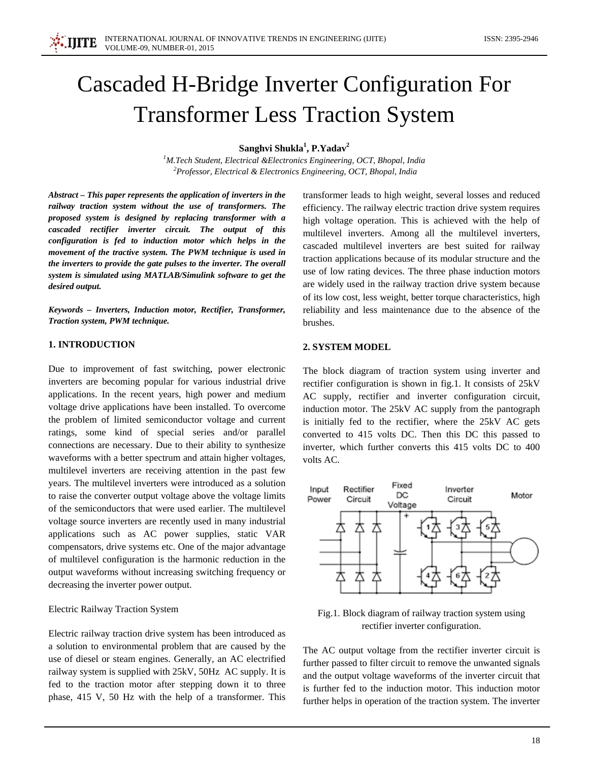# Cascaded H-Bridge Inverter Configuration For Transformer Less Traction System

**Sanghvi Shukla<sup>1</sup> , P.Yadav2**

*1 M.Tech Student, Electrical &Electronics Engineering, OCT, Bhopal, India 2 Professor, Electrical & Electronics Engineering, OCT, Bhopal, India*

*Abstract – This paper represents the application of inverters in the railway traction system without the use of transformers. The proposed system is designed by replacing transformer with a cascaded rectifier inverter circuit. The output of this configuration is fed to induction motor which helps in the movement of the tractive system. The PWM technique is used in the inverters to provide the gate pulses to the inverter. The overall system is simulated using MATLAB/Simulink software to get the desired output.*

*Keywords – Inverters, Induction motor, Rectifier, Transformer, Traction system, PWM technique.*

# **1. INTRODUCTION**

Due to improvement of fast switching, power electronic inverters are becoming popular for various industrial drive applications. In the recent years, high power and medium voltage drive applications have been installed. To overcome the problem of limited semiconductor voltage and current ratings, some kind of special series and/or parallel connections are necessary. Due to their ability to synthesize waveforms with a better spectrum and attain higher voltages, multilevel inverters are receiving attention in the past few years. The multilevel inverters were introduced as a solution to raise the converter output voltage above the voltage limits of the semiconductors that were used earlier. The multilevel voltage source inverters are recently used in many industrial applications such as AC power supplies, static VAR compensators, drive systems etc. One of the major advantage of multilevel configuration is the harmonic reduction in the output waveforms without increasing switching frequency or decreasing the inverter power output.

#### Electric Railway Traction System

Electric railway traction drive system has been introduced as a solution to environmental problem that are caused by the use of diesel or steam engines. Generally, an AC electrified railway system is supplied with 25kV, 50Hz AC supply. It is fed to the traction motor after stepping down it to three phase, 415 V, 50 Hz with the help of a transformer. This

transformer leads to high weight, several losses and reduced efficiency. The railway electric traction drive system requires high voltage operation. This is achieved with the help of multilevel inverters. Among all the multilevel inverters, cascaded multilevel inverters are best suited for railway traction applications because of its modular structure and the use of low rating devices. The three phase induction motors are widely used in the railway traction drive system because of its low cost, less weight, better torque characteristics, high reliability and less maintenance due to the absence of the brushes.

## **2. SYSTEM MODEL**

The block diagram of traction system using inverter and rectifier configuration is shown in fig.1. It consists of 25kV AC supply, rectifier and inverter configuration circuit, induction motor. The 25kV AC supply from the pantograph is initially fed to the rectifier, where the 25kV AC gets converted to 415 volts DC. Then this DC this passed to inverter, which further converts this 415 volts DC to 400 volts AC.



Fig.1. Block diagram of railway traction system using rectifier inverter configuration.

The AC output voltage from the rectifier inverter circuit is further passed to filter circuit to remove the unwanted signals and the output voltage waveforms of the inverter circuit that is further fed to the induction motor. This induction motor further helps in operation of the traction system. The inverter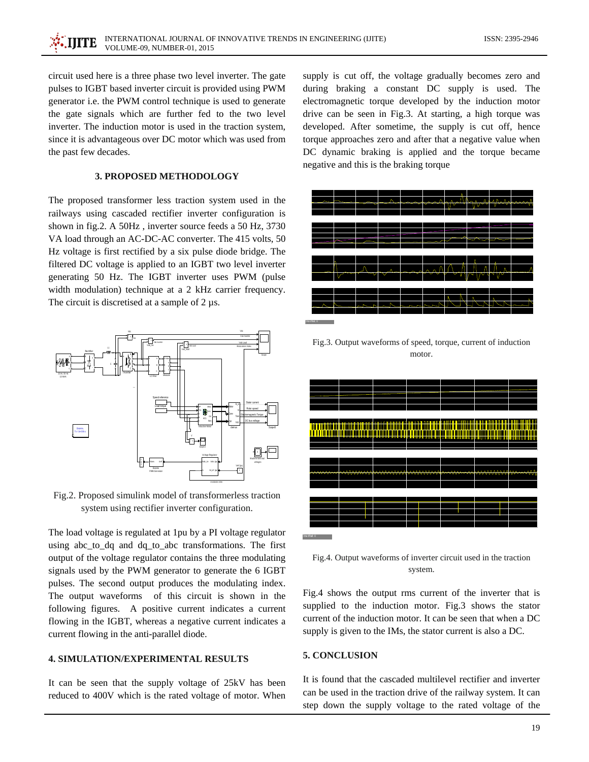circuit used here is a three phase two level inverter. The gate pulses to IGBT based inverter circuit is provided using PWM generator i.e. the PWM control technique is used to generate the gate signals which are further fed to the two level inverter. The induction motor is used in the traction system, since it is advantageous over DC motor which was used from the past few decades.

## **3. PROPOSED METHODOLOGY**

The proposed transformer less traction system used in the railways using cascaded rectifier inverter configuration is shown in fig.2. A 50Hz , inverter source feeds a 50 Hz, 3730 VA load through an AC-DC-AC converter. The 415 volts, 50 Hz voltage is first rectified by a six pulse diode bridge. The filtered DC voltage is applied to an IGBT two level inverter generating 50 Hz. The IGBT inverter uses PWM (pulse width modulation) technique at a 2 kHz carrier frequency. The circuit is discretised at a sample of 2  $\mu$ s.



Fig.2. Proposed simulink model of transformerless traction system using rectifier inverter configuration.

The load voltage is regulated at 1pu by a PI voltage regulator using abc\_to\_dq and dq\_to\_abc transformations. The first output of the voltage regulator contains the three modulating signals used by the PWM generator to generate the 6 IGBT pulses. The second output produces the modulating index. The output waveforms of this circuit is shown in the following figures. A positive current indicates a current flowing in the IGBT, whereas a negative current indicates a current flowing in the anti-parallel diode.

# **4. SIMULATION/EXPERIMENTAL RESULTS**

It can be seen that the supply voltage of 25kV has been reduced to 400V which is the rated voltage of motor. When

supply is cut off, the voltage gradually becomes zero and during braking a constant DC supply is used. The electromagnetic torque developed by the induction motor drive can be seen in Fig.3. At starting, a high torque was developed. After sometime, the supply is cut off, hence torque approaches zero and after that a negative value when DC dynamic braking is applied and the torque became negative and this is the braking torque



Fig.3. Output waveforms of speed, torque, current of induction motor.



Fig.4. Output waveforms of inverter circuit used in the traction system.

Fig.4 shows the output rms current of the inverter that is supplied to the induction motor. Fig.3 shows the stator current of the induction motor. It can be seen that when a DC supply is given to the IMs, the stator current is also a DC.

## **5. CONCLUSION**

It is found that the cascaded multilevel rectifier and inverter can be used in the traction drive of the railway system. It can step down the supply voltage to the rated voltage of the